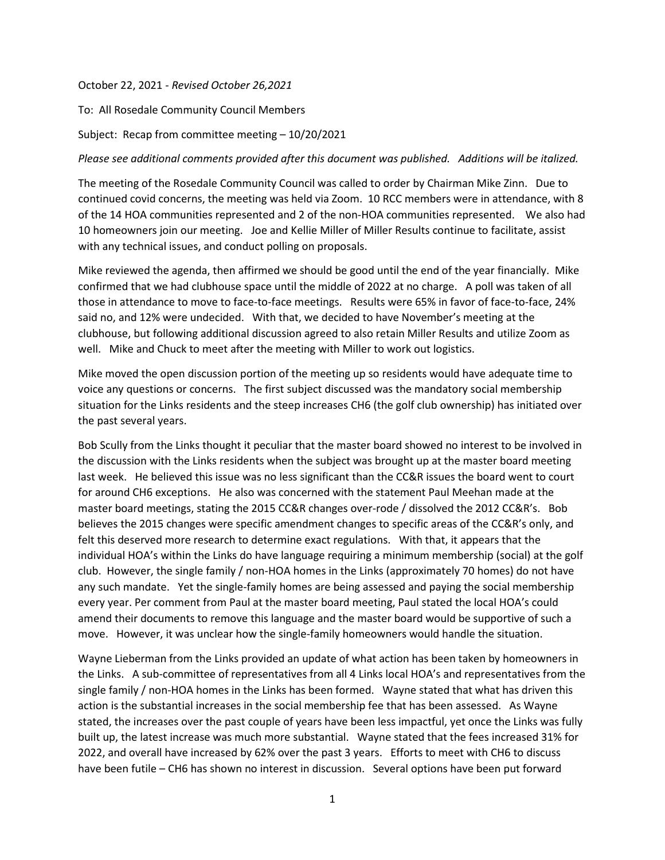## October 22, 2021 - *Revised October 26,2021*

To: All Rosedale Community Council Members

Subject: Recap from committee meeting – 10/20/2021

## *Please see additional comments provided after this document was published. Additions will be italized.*

The meeting of the Rosedale Community Council was called to order by Chairman Mike Zinn. Due to continued covid concerns, the meeting was held via Zoom. 10 RCC members were in attendance, with 8 of the 14 HOA communities represented and 2 of the non-HOA communities represented. We also had 10 homeowners join our meeting. Joe and Kellie Miller of Miller Results continue to facilitate, assist with any technical issues, and conduct polling on proposals.

Mike reviewed the agenda, then affirmed we should be good until the end of the year financially. Mike confirmed that we had clubhouse space until the middle of 2022 at no charge. A poll was taken of all those in attendance to move to face-to-face meetings. Results were 65% in favor of face-to-face, 24% said no, and 12% were undecided. With that, we decided to have November's meeting at the clubhouse, but following additional discussion agreed to also retain Miller Results and utilize Zoom as well. Mike and Chuck to meet after the meeting with Miller to work out logistics.

Mike moved the open discussion portion of the meeting up so residents would have adequate time to voice any questions or concerns. The first subject discussed was the mandatory social membership situation for the Links residents and the steep increases CH6 (the golf club ownership) has initiated over the past several years.

Bob Scully from the Links thought it peculiar that the master board showed no interest to be involved in the discussion with the Links residents when the subject was brought up at the master board meeting last week. He believed this issue was no less significant than the CC&R issues the board went to court for around CH6 exceptions. He also was concerned with the statement Paul Meehan made at the master board meetings, stating the 2015 CC&R changes over-rode / dissolved the 2012 CC&R's. Bob believes the 2015 changes were specific amendment changes to specific areas of the CC&R's only, and felt this deserved more research to determine exact regulations. With that, it appears that the individual HOA's within the Links do have language requiring a minimum membership (social) at the golf club. However, the single family / non-HOA homes in the Links (approximately 70 homes) do not have any such mandate. Yet the single-family homes are being assessed and paying the social membership every year. Per comment from Paul at the master board meeting, Paul stated the local HOA's could amend their documents to remove this language and the master board would be supportive of such a move. However, it was unclear how the single-family homeowners would handle the situation.

Wayne Lieberman from the Links provided an update of what action has been taken by homeowners in the Links. A sub-committee of representatives from all 4 Links local HOA's and representatives from the single family / non-HOA homes in the Links has been formed. Wayne stated that what has driven this action is the substantial increases in the social membership fee that has been assessed. As Wayne stated, the increases over the past couple of years have been less impactful, yet once the Links was fully built up, the latest increase was much more substantial. Wayne stated that the fees increased 31% for 2022, and overall have increased by 62% over the past 3 years. Efforts to meet with CH6 to discuss have been futile – CH6 has shown no interest in discussion. Several options have been put forward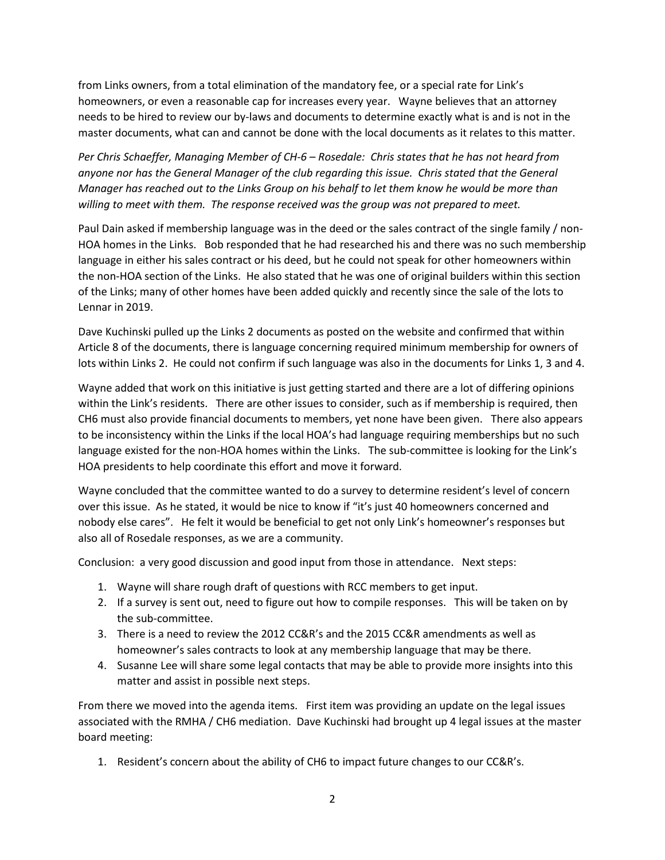from Links owners, from a total elimination of the mandatory fee, or a special rate for Link's homeowners, or even a reasonable cap for increases every year. Wayne believes that an attorney needs to be hired to review our by-laws and documents to determine exactly what is and is not in the master documents, what can and cannot be done with the local documents as it relates to this matter.

*Per Chris Schaeffer, Managing Member of CH-6 – Rosedale: Chris states that he has not heard from anyone nor has the General Manager of the club regarding this issue. Chris stated that the General Manager has reached out to the Links Group on his behalf to let them know he would be more than willing to meet with them. The response received was the group was not prepared to meet.*

Paul Dain asked if membership language was in the deed or the sales contract of the single family / non-HOA homes in the Links. Bob responded that he had researched his and there was no such membership language in either his sales contract or his deed, but he could not speak for other homeowners within the non-HOA section of the Links. He also stated that he was one of original builders within this section of the Links; many of other homes have been added quickly and recently since the sale of the lots to Lennar in 2019.

Dave Kuchinski pulled up the Links 2 documents as posted on the website and confirmed that within Article 8 of the documents, there is language concerning required minimum membership for owners of lots within Links 2. He could not confirm if such language was also in the documents for Links 1, 3 and 4.

Wayne added that work on this initiative is just getting started and there are a lot of differing opinions within the Link's residents. There are other issues to consider, such as if membership is required, then CH6 must also provide financial documents to members, yet none have been given. There also appears to be inconsistency within the Links if the local HOA's had language requiring memberships but no such language existed for the non-HOA homes within the Links. The sub-committee is looking for the Link's HOA presidents to help coordinate this effort and move it forward.

Wayne concluded that the committee wanted to do a survey to determine resident's level of concern over this issue. As he stated, it would be nice to know if "it's just 40 homeowners concerned and nobody else cares". He felt it would be beneficial to get not only Link's homeowner's responses but also all of Rosedale responses, as we are a community.

Conclusion: a very good discussion and good input from those in attendance. Next steps:

- 1. Wayne will share rough draft of questions with RCC members to get input.
- 2. If a survey is sent out, need to figure out how to compile responses. This will be taken on by the sub-committee.
- 3. There is a need to review the 2012 CC&R's and the 2015 CC&R amendments as well as homeowner's sales contracts to look at any membership language that may be there.
- 4. Susanne Lee will share some legal contacts that may be able to provide more insights into this matter and assist in possible next steps.

From there we moved into the agenda items. First item was providing an update on the legal issues associated with the RMHA / CH6 mediation. Dave Kuchinski had brought up 4 legal issues at the master board meeting:

1. Resident's concern about the ability of CH6 to impact future changes to our CC&R's.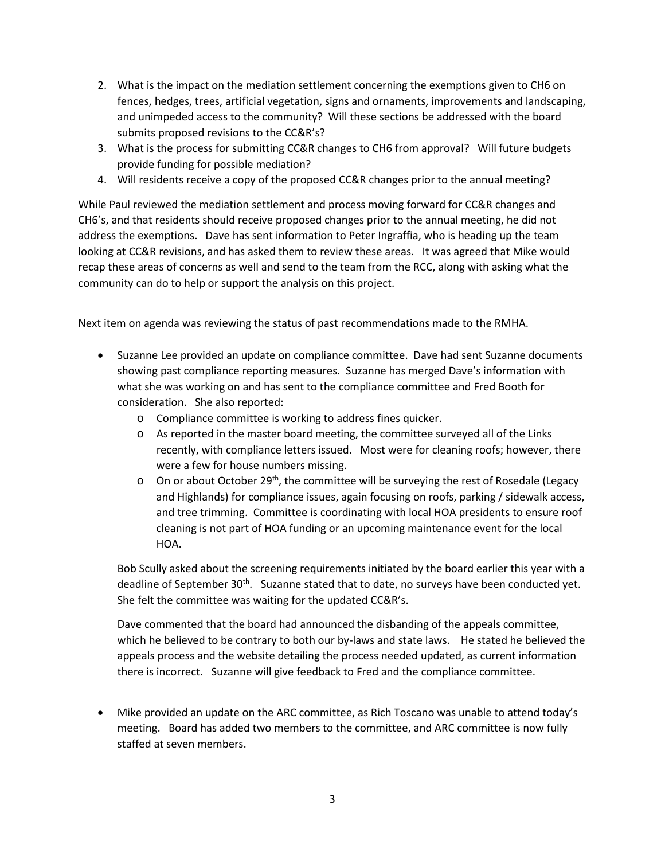- 2. What is the impact on the mediation settlement concerning the exemptions given to CH6 on fences, hedges, trees, artificial vegetation, signs and ornaments, improvements and landscaping, and unimpeded access to the community? Will these sections be addressed with the board submits proposed revisions to the CC&R's?
- 3. What is the process for submitting CC&R changes to CH6 from approval? Will future budgets provide funding for possible mediation?
- 4. Will residents receive a copy of the proposed CC&R changes prior to the annual meeting?

While Paul reviewed the mediation settlement and process moving forward for CC&R changes and CH6's, and that residents should receive proposed changes prior to the annual meeting, he did not address the exemptions. Dave has sent information to Peter Ingraffia, who is heading up the team looking at CC&R revisions, and has asked them to review these areas. It was agreed that Mike would recap these areas of concerns as well and send to the team from the RCC, along with asking what the community can do to help or support the analysis on this project.

Next item on agenda was reviewing the status of past recommendations made to the RMHA.

- Suzanne Lee provided an update on compliance committee. Dave had sent Suzanne documents showing past compliance reporting measures. Suzanne has merged Dave's information with what she was working on and has sent to the compliance committee and Fred Booth for consideration. She also reported:
	- o Compliance committee is working to address fines quicker.
	- o As reported in the master board meeting, the committee surveyed all of the Links recently, with compliance letters issued. Most were for cleaning roofs; however, there were a few for house numbers missing.
	- $\circ$  On or about October 29<sup>th</sup>, the committee will be surveying the rest of Rosedale (Legacy and Highlands) for compliance issues, again focusing on roofs, parking / sidewalk access, and tree trimming. Committee is coordinating with local HOA presidents to ensure roof cleaning is not part of HOA funding or an upcoming maintenance event for the local HOA.

Bob Scully asked about the screening requirements initiated by the board earlier this year with a deadline of September 30<sup>th</sup>. Suzanne stated that to date, no surveys have been conducted yet. She felt the committee was waiting for the updated CC&R's.

Dave commented that the board had announced the disbanding of the appeals committee, which he believed to be contrary to both our by-laws and state laws. He stated he believed the appeals process and the website detailing the process needed updated, as current information there is incorrect. Suzanne will give feedback to Fred and the compliance committee.

• Mike provided an update on the ARC committee, as Rich Toscano was unable to attend today's meeting. Board has added two members to the committee, and ARC committee is now fully staffed at seven members.